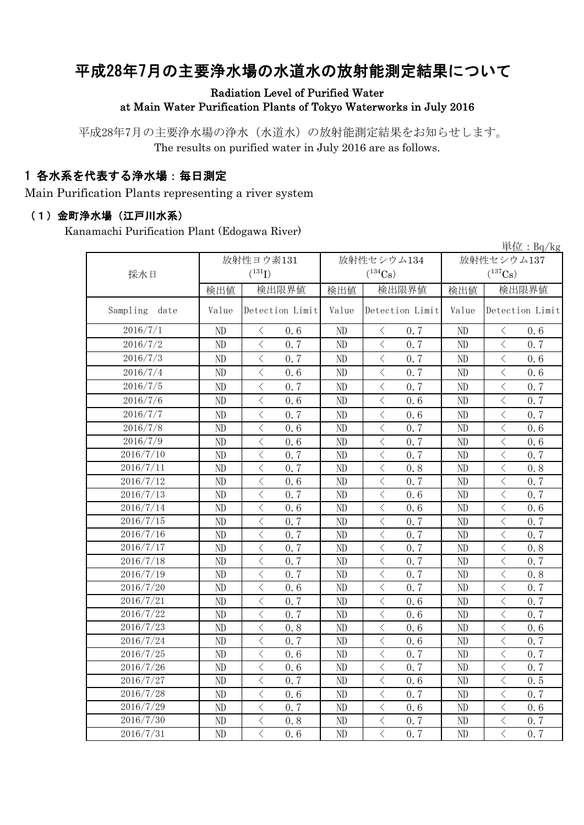# 平成28年7月の主要浄水場の水道水の放射能測定結果について

#### Radiation Level of Purified Water at Main Water Purification Plants of Tokyo Waterworks in July 2016

平成28年7月の主要浄水場の浄水(水道水)の放射能測定結果をお知らせします。 The results on purified water in July 2016 are as follows.

### 1 各水系を代表する浄水場:毎日測定

Main Purification Plants representing a river system

#### (1)金町浄水場(江戸川水系)

Kanamachi Purification Plant (Edogawa River)

|                  | 単位: $Bq/kg$ |                                                 |          |                                                                                                                                                                      |                |                                                 |  |  |  |  |
|------------------|-------------|-------------------------------------------------|----------|----------------------------------------------------------------------------------------------------------------------------------------------------------------------|----------------|-------------------------------------------------|--|--|--|--|
|                  |             | 放射性ヨウ素131                                       |          | 放射性セシウム134                                                                                                                                                           | 放射性セシウム137     |                                                 |  |  |  |  |
| 採水日              | $(^{131}J)$ |                                                 |          | $(^{134}Cs)$                                                                                                                                                         | $(^{137}Cs)$   |                                                 |  |  |  |  |
|                  | 検出値         | 検出限界値                                           | 検出値      | 検出限界値                                                                                                                                                                | 検出値            | 検出限界値                                           |  |  |  |  |
| Sampling<br>date | Value       | Detection Limit                                 | Value    | Detection Limit                                                                                                                                                      | Value          | Detection Limit                                 |  |  |  |  |
| 2016/7/1         | ND          | $\langle$<br>0.6                                | ND       | $\langle$<br>0.7                                                                                                                                                     | ND             | 0.6<br>$\lt$                                    |  |  |  |  |
| 2016/7/2         | ND          | $\langle$<br>0.7                                | ND       | $\langle$<br>0, 7                                                                                                                                                    | ND             | $\lt$<br>0.7                                    |  |  |  |  |
| 2016/7/3         | ND          | $\langle$<br>0.7                                | ND       | $\overline{\left\langle \right\rangle }$<br>0.7                                                                                                                      | ND             | $\overline{\left\langle \right\rangle }$<br>0.6 |  |  |  |  |
| 2016/7/4         | ND          | $\langle$<br>0.6                                | ND       | $\overline{\left\langle \right\rangle }$<br>0.7                                                                                                                      | ND             | $\overline{\left\langle \right\rangle }$<br>0.6 |  |  |  |  |
| 2016/7/5         | ND          | $\langle$<br>0.7                                | ND       | $\langle$<br>0.7                                                                                                                                                     | N <sub>D</sub> | $\lt$<br>0.7                                    |  |  |  |  |
| 2016/7/6         | ND          | $\overline{\left\langle \right\rangle }$<br>0.6 | ND       | $\overline{\left\langle \right\rangle }$<br>0.6                                                                                                                      | ND             | $\overline{\left\langle \right\rangle }$<br>0.7 |  |  |  |  |
| 2016/7/7         | ND          | $\langle$<br>0.7                                | ND       | $\langle$<br>0.6                                                                                                                                                     | ND             | $\langle$<br>0.7                                |  |  |  |  |
| 2016/7/8         | ND          | $\langle$<br>0.6                                | ND       | $\overline{\left\langle \right\rangle }$<br>0.7                                                                                                                      | ND             | $\overline{\left\langle \right\rangle }$<br>0.6 |  |  |  |  |
| 2016/7/9         | ND          | $\langle$<br>0.6                                | ND       | $\langle$<br>0.7                                                                                                                                                     | ND             | $\overline{\left\langle \right\rangle }$<br>0.6 |  |  |  |  |
| 2016/7/10        | $\rm ND$    | $\langle$<br>0.7                                | $\rm ND$ | $\lt$<br>0.7                                                                                                                                                         | ND             | $\,$ $\,$ $\,$<br>0.7                           |  |  |  |  |
| 2016/7/11        | ND          | $\langle$<br>0.7                                | $\rm ND$ | $\lt$<br>0.8                                                                                                                                                         | ND             | $\langle$<br>0.8                                |  |  |  |  |
| 2016/7/12        | $\rm ND$    | $\lt$<br>0.6                                    | $\rm ND$ | $\lt$<br>0.7                                                                                                                                                         | ND             | $\langle$<br>0.7                                |  |  |  |  |
| 2016/7/13        | ND          | $\langle$<br>0.7                                | $\rm ND$ | $\overline{\left\langle \right\rangle }$<br>0.6                                                                                                                      | ND             | $\overline{\left\langle \right\rangle }$<br>0.7 |  |  |  |  |
| 2016/7/14        | ND          | $\,<\,$<br>0.6                                  | ND       | $\lt$<br>0.6                                                                                                                                                         | ND             | $\langle$<br>0.6                                |  |  |  |  |
| 2016/7/15        | ND          | $\overline{\left\langle \right\rangle }$<br>0.7 | ND       | $\langle$<br>0.7                                                                                                                                                     | ND             | $\overline{\left\langle \right\rangle }$<br>0.7 |  |  |  |  |
| 2016/7/16        | ND          | $\langle$<br>0.7                                | ND       | $\lt$<br>0.7                                                                                                                                                         | N <sub>D</sub> | $\lt$<br>0.7                                    |  |  |  |  |
| 2016/7/17        | ND          | $\langle$<br>0.7                                | ND       | $\overline{\left\langle \right\rangle }$<br>0.7                                                                                                                      | ND             | $\langle$<br>0.8                                |  |  |  |  |
| 2016/7/18        | ND          | $\langle$<br>0.7                                | ND       | $\overline{\left\langle \right\rangle }$<br>0.7                                                                                                                      | ND             | $\overline{\left\langle \right\rangle }$<br>0.7 |  |  |  |  |
| 2016/7/19        | ND          | $\overline{\left\langle \right\rangle }$<br>0.7 | ND       | $\langle$<br>0.7                                                                                                                                                     | ND             | $\langle$<br>0.8                                |  |  |  |  |
| 2016/7/20        | ND          | $\overline{\left\langle \right\rangle }$<br>0.6 | ND       | $\overline{\left\langle \right\rangle }$<br>0.7                                                                                                                      | N <sub>D</sub> | $\overline{\left\langle \right\rangle }$<br>0.7 |  |  |  |  |
| 2016/7/21        | ND          | $\langle$<br>0.7                                | ND       | $\overline{\left\langle \right\rangle }$<br>0.6                                                                                                                      | ND             | $\overline{\langle}$<br>0.7                     |  |  |  |  |
| 2016/7/22        | ND          | $\langle$<br>0.7                                | ND       | $\lt$<br>0.6                                                                                                                                                         | N <sub>D</sub> | $\overline{\left\langle \right\rangle }$<br>0.7 |  |  |  |  |
| 2016/7/23        | ND          | $\langle$<br>0.8                                | ND       | $\langle$<br>0.6                                                                                                                                                     | ND             | $\langle$<br>0, 6                               |  |  |  |  |
| 2016/7/24        | ND          | $\langle$<br>0.7                                | ND       | $\,$ $\,$ $\,$<br>0.6                                                                                                                                                | ND             | $\,$ $\,$ $\,$<br>0.7                           |  |  |  |  |
| 2016/7/25        | ND          | $\langle$<br>0.6                                | ND       | $\langle$<br>0.7                                                                                                                                                     | ND             | $\langle$<br>0, 7                               |  |  |  |  |
| 2016/7/26        | ND          | $\langle$<br>0.6                                | ND       | $\, <\,$<br>0.7                                                                                                                                                      | ND             | $\langle$<br>0.7                                |  |  |  |  |
| 2016/7/27        | ND          | $\,$ $\,$ $\,$<br>0.7                           | ND       | $\lt$<br>0.6                                                                                                                                                         | ND             | $\overline{\left\langle \right\rangle }$<br>0.5 |  |  |  |  |
| 2016/7/28        | ND          | $\overline{\left\langle \right\rangle }$<br>0.6 | ND       | $\langle$<br>0.7                                                                                                                                                     | N <sub>D</sub> | $\overline{\left\langle \right\rangle }$<br>0.7 |  |  |  |  |
| 2016/7/29        | $\rm ND$    | $\,<\,$<br>0.7                                  | ND       | $\lt$<br>0.6                                                                                                                                                         | ND             | $\langle$<br>0.6                                |  |  |  |  |
| 2016/7/30        | ND          | $\bigg\langle$<br>0.8                           | ND       | $\overline{\left\langle \right. }% ,\left\langle \overline{\left\langle \right. }% ,\left\langle \overline{\left\langle \right\rangle }\right\rangle \right.$<br>0.7 | ND             | $\lt$<br>0.7                                    |  |  |  |  |
| 2016/7/31        | ND          | $\langle$<br>0.6                                | ND       | $\overline{\left\langle \right\rangle }$<br>0.7                                                                                                                      | N <sub>D</sub> | $\overline{\left\langle \right\rangle }$<br>0.7 |  |  |  |  |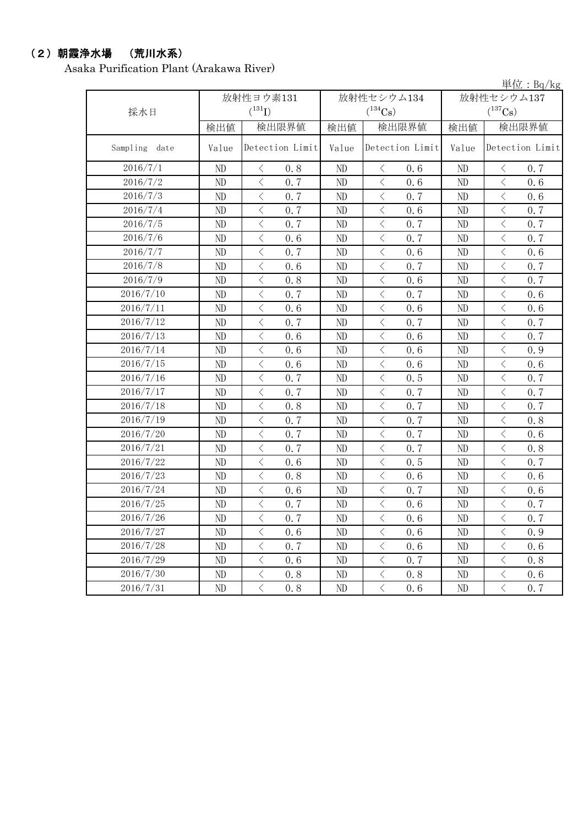## (2)朝霞浄水場 (荒川水系)

Asaka Purification Plant (Arakawa River)

単位:Bq/kg

| 採水日           | 放射性ヨウ素131<br>$(^{131}I)$ |                                                 |          | 放射性セシウム134<br>$(^{134}Cs)$                      | 放射性セシウム137<br>$(^{137}Cs)$ |                       |  |
|---------------|--------------------------|-------------------------------------------------|----------|-------------------------------------------------|----------------------------|-----------------------|--|
|               | 検出値                      | 検出限界値                                           | 検出値      | 検出限界値                                           | 検出値                        | 検出限界値                 |  |
| Sampling date | Value                    | Detection Limit                                 | Value    | Detection Limit                                 | Value                      | Detection Limit       |  |
| 2016/7/1      | ND                       | 0.8<br>$\lt$                                    | $\rm ND$ | 0.6<br>$\langle$                                | ND                         | 0.7<br>$\langle$      |  |
| 2016/7/2      | $\rm ND$                 | $\overline{\langle}$<br>0.7                     | ND       | $\langle$<br>0.6                                | ND                         | $\langle$<br>0.6      |  |
| 2016/7/3      | ND                       | $\,$ $\,$ $\,$<br>0.7                           | ND       | $\lt$<br>0.7                                    | ND                         | $\lt$<br>0.6          |  |
| 2016/7/4      | ND                       | $\langle$<br>0.7                                | ND       | $\overline{\left\langle \right\rangle }$<br>0.6 | N <sub>D</sub>             | $\langle$<br>0.7      |  |
| 2016/7/5      | ND                       | $\overline{\left\langle \right\rangle }$<br>0.7 | ND       | $\langle$<br>0.7                                | N <sub>D</sub>             | $\lt$<br>0.7          |  |
| 2016/7/6      | ND                       | $\overline{\left\langle \right\rangle }$<br>0.6 | ND       | $\langle$<br>0.7                                | ND                         | $\langle$<br>0.7      |  |
| 2016/7/7      | ND                       | $\,$ $\,$ $\,$<br>0.7                           | ND       | $\lt$<br>0.6                                    | ND                         | $\langle$<br>0.6      |  |
| 2016/7/8      | ND                       | $\,$ $\,$ $\,$<br>0, 6                          | ND       | $\langle$<br>0.7                                | ND                         | $\lt$<br>0.7          |  |
| 2016/7/9      | ND                       | $\,$ $\,$ $\,$<br>0.8                           | ND       | $\langle$<br>0.6                                | ND                         | $\lt$<br>0.7          |  |
| 2016/7/10     | ND                       | $\,$ $\,$ $\,$<br>0.7                           | ND       | $\langle$<br>0.7                                | ND                         | $\lt$<br>0.6          |  |
| 2016/7/11     | ND                       | $\,$ $\,$ $\,$<br>0.6                           | ND       | $\lt$<br>0.6                                    | ND                         | $\lt$<br>0.6          |  |
| 2016/7/12     | ND                       | $\hspace{0.1mm} <\hspace{0.1mm}$<br>0.7         | ND       | 0.7<br>$\lt$                                    | ND                         | 0.7<br>$\lt$          |  |
| 2016/7/13     | ND                       | $\,$ $\,$ $\,$<br>0.6                           | ND       | $\lt$<br>0.6                                    | ND                         | $\lt$<br>0.7          |  |
| 2016/7/14     | $\rm ND$                 | $\,$ $\,$ $\,$<br>0.6                           | $\rm ND$ | $\lt$<br>0.6                                    | $\rm ND$                   | $\lt$<br>0.9          |  |
| 2016/7/15     | $\rm ND$                 | $\langle$<br>0.6                                | $\rm ND$ | $\lt$<br>0.6                                    | ND                         | $\langle$<br>0.6      |  |
| 2016/7/16     | ND                       | $\langle$<br>0.7                                | ND       | $\lt$<br>0.5                                    | ND                         | $\lt$<br>0.7          |  |
| 2016/7/17     | ND                       | $\langle$<br>0.7                                | ND       | $\overline{\left\langle \right\rangle }$<br>0.7 | ND                         | $\lt$<br>0.7          |  |
| 2016/7/18     | ND                       | $\overline{\left\langle \right\rangle }$<br>0.8 | ND       | $\langle$<br>0.7                                | ND                         | $\,$ $\,$ $\,$<br>0.7 |  |
| 2016/7/19     | ND                       | $\overline{\left\langle \right\rangle }$<br>0.7 | ND       | $\overline{\left\langle \right\rangle }$<br>0.7 | ND                         | $\langle$<br>0.8      |  |
| 2016/7/20     | ND                       | $\,$ $\,$ $\,$<br>0.7                           | ND       | $\lt$<br>0.7                                    | ND                         | $\lt$<br>0.6          |  |
| 2016/7/21     | ND                       | $\overline{\langle}$<br>0.7                     | ND       | $\overline{\left\langle \right\rangle }$<br>0.7 | ND                         | $\langle$<br>0.8      |  |
| 2016/7/22     | ND                       | $\overline{\left\langle \right\rangle }$<br>0.6 | ND       | $\langle$<br>0.5                                | ND                         | $\lt$<br>0.7          |  |
| 2016/7/23     | ND                       | $\langle$<br>0.8                                | ND       | $\langle$<br>0.6                                | ND                         | $\langle$<br>0.6      |  |
| 2016/7/24     | ND                       | $\langle$<br>0.6                                | ND       | $\lt$<br>0.7                                    | $\rm ND$                   | $\langle$<br>0.6      |  |
| 2016/7/25     | ND                       | $\overline{\left\langle \right\rangle }$<br>0.7 | ND       | $\langle$<br>0.6                                | ND                         | $\langle$<br>0.7      |  |
| 2016/7/26     | ND                       | $\,$ $\,$ $\,$<br>0.7                           | ND       | $\langle$<br>0.6                                | ND                         | $\lt$<br>0.7          |  |
| 2016/7/27     | ND                       | $\lt$<br>0.6                                    | ND       | $\lt$<br>0.6                                    | ND                         | $\lt$<br>0.9          |  |
| 2016/7/28     | ND                       | $\,$ $\,$ $\,$<br>0.7                           | ND       | $\lt$<br>0.6                                    | ND                         | $\lt$<br>0.6          |  |
| 2016/7/29     | ND                       | $\,$ $\,$ $\,$<br>0.6                           | $\rm ND$ | $\langle$<br>0.7                                | ND                         | $\lt$<br>0.8          |  |
| 2016/7/30     | ND                       | $\langle$<br>0.8                                | ND       | $\overline{\left\langle \right\rangle }$<br>0.8 | ND                         | $\langle$<br>0.6      |  |
| 2016/7/31     | ND                       | $\langle$<br>0.8                                | $\rm ND$ | $\langle$<br>0.6                                | ND                         | $\langle$<br>0.7      |  |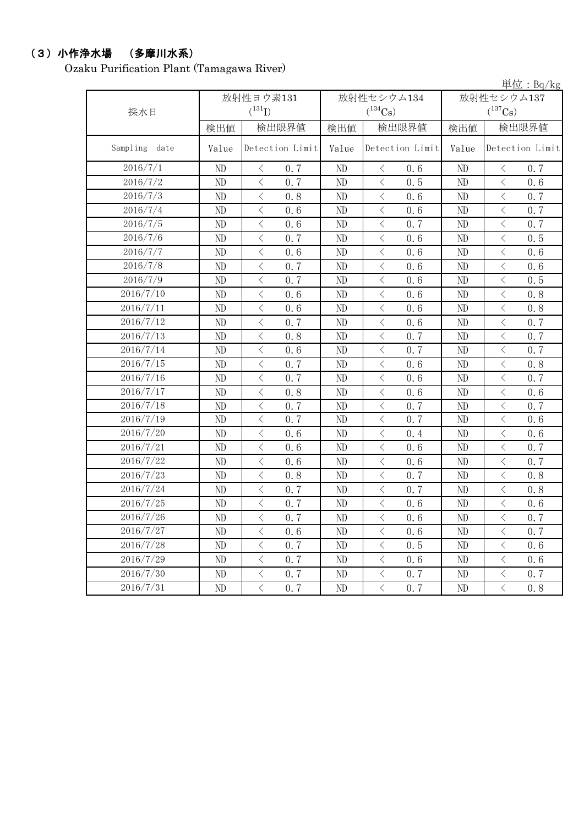#### (3)小作浄水場 (多摩川水系)

Ozaku Purification Plant (Tamagawa River)

単位:Bq/kg 検出値 | 検出限量 | 検出限界値 | 検出値 | 検出限界値 Value Detection Limit Value Detection Limit Value ND  $\vert$   $\langle$  0.7  $\vert$  ND  $\vert$   $\langle$  0.6  $\vert$  ND  $\vert$   $\langle$  0.7 ND  $\vert$   $\langle$  0.7  $\vert$  ND  $\vert$   $\langle$  0.5  $\vert$  ND  $\vert$   $\langle$  0.6 ND  $\vert$   $\langle$  0.8  $\vert$  ND  $\vert$   $\langle$  0.6  $\vert$  ND  $\vert$   $\langle$  0.7 ND  $\vert$   $\langle$  0.6  $\vert$  ND  $\vert$   $\langle$  0.6  $\vert$  ND  $\vert$   $\langle$  0.7 ND  $\vert$   $\langle$  0.6  $\vert$  ND  $\vert$   $\langle$  0.7  $\vert$  ND  $\vert$   $\langle$  0.7 ND  $\vert$   $\langle$  0.7  $\vert$  ND  $\vert$   $\langle$  0.6  $\vert$  ND  $\vert$   $\langle$  0.5 ND < 0.6 ND < 0.6 ND < 0.6 ND < 0.7 ND < 0.6 ND < 0.6 ND  $\vert$   $\langle$  0.7  $\vert$  ND  $\vert$   $\langle$  0.6  $\vert$  ND  $\vert$   $\langle$  0.5 ND < 0.6 ND < 0.6 ND < 0.8 ND < 0.6 ND < 0.6 ND < 0.8 ND  $\vert$   $\langle$  0.7  $\vert$  ND  $\vert$   $\langle$  0.6  $\vert$  ND  $\vert$   $\langle$  0.7 ND  $\vert$   $\langle$  0.8  $\vert$  ND  $\vert$   $\langle$  0.7  $\vert$  ND  $\vert$   $\langle$  0.7 ND  $\vert$   $\langle$  0.6  $\vert$  ND  $\vert$   $\langle$  0.7  $\vert$  ND  $\vert$   $\langle$  0.7 ND  $\vert$   $\langle$  0.7  $\vert$  ND  $\vert$   $\langle$  0.6  $\vert$  ND  $\vert$   $\langle$  0.8 ND  $\vert$   $\langle$  0.7  $\vert$  ND  $\vert$   $\langle$  0.6  $\vert$  ND  $\vert$   $\langle$  0.7 ND < 0.8 ND < 0.6 ND < 0.6 ND  $\vert$   $\langle$  0.7  $\vert$  ND  $\vert$   $\langle$  0.7  $\vert$  ND  $\vert$   $\langle$  0.7 ND  $\vert$   $\langle$  0.7  $\vert$  ND  $\vert$   $\langle$  0.7  $\vert$  ND  $\vert$   $\langle$  0.6 ND  $\vert$   $\langle$  0.6  $\vert$  ND  $\vert$   $\langle$  0.4  $\vert$  ND  $\vert$   $\langle$  0.6 ND  $\vert$   $\langle$  0.6  $\vert$  ND  $\vert$   $\langle$  0.6  $\vert$  ND  $\vert$   $\langle$  0.7 ND  $\vert$   $\langle$  0.6  $\vert$  ND  $\vert$   $\langle$  0.6  $\vert$  ND  $\vert$   $\langle$  0.7 ND  $\vert$  < 0.8  $\vert$  ND  $\vert$  < 0.7  $\vert$  ND  $\vert$  < 0.8 ND  $\vert$   $\langle$  0.7  $\vert$  ND  $\vert$   $\langle$  0.7  $\vert$  ND  $\vert$   $\langle$  0.8 ND  $\vert$   $\langle$  0.7  $\vert$  ND  $\vert$   $\langle$  0.6  $\vert$  ND  $\vert$   $\langle$  0.6 ND  $\vert$   $\langle$  0.7  $\vert$  ND  $\vert$   $\langle$  0.6  $\vert$  ND  $\vert$   $\langle$  0.7 ND  $\vert$   $\langle$  0.6  $\vert$  ND  $\vert$   $\langle$  0.6  $\vert$  ND  $\vert$   $\langle$  0.7 ND  $\vert$   $\langle$  0.7  $\vert$  ND  $\vert$   $\langle$  0.5  $\vert$  ND  $\vert$   $\langle$  0.6 ND < 0.7 ND < 0.6 ND < 0.6 ND  $\vert$   $\langle$  0.7  $\vert$  ND  $\vert$   $\langle$  0.7  $\vert$  ND  $\vert$   $\langle$  0.7 ND < 0.7 ND < 0.7 ND < 0.8 2016/7/10 放射性セシウム134  $(^{134}\mathrm{Cs})$ 2016/7/14 2016/7/25 2016/7/23 2016/7/17 Detection Limit 放射性セシウム137  $(^{137}Cs)$ 2016/7/12 2016/7/13 放射性ヨウ素131  $(^{131}\text{I})$ 2016/7/2 Detection Limit 2016/7/11 検出限界値 2016/7/30 2016/7/21 2016/7/22 2016/7/19 2016/7/27 2016/7/28 2016/7/29 2016/7/31 2016/7/20 2016/7/26 Sampling date 採水日 2016/7/1 2016/7/5 2016/7/6 2016/7/24 2016/7/15 2016/7/18 2016/7/8 2016/7/3 2016/7/7 2016/7/9 2016/7/16 2016/7/4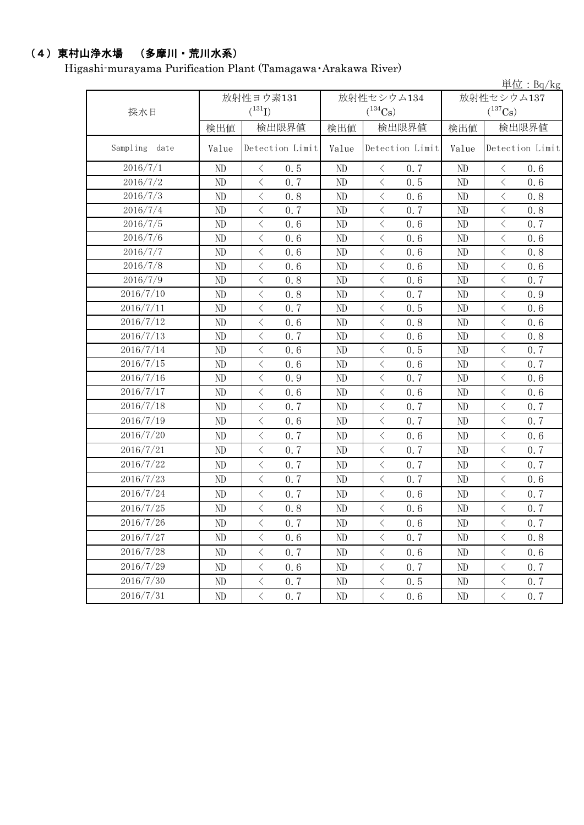## (4)東村山浄水場 (多摩川・荒川水系)

Higashi-murayama Purification Plant (Tamagawa・Arakawa River)

|                  |           |                                          |                 |            |                       |                 |            |                                                                                                        | 単位: $Bq/kg$     |  |
|------------------|-----------|------------------------------------------|-----------------|------------|-----------------------|-----------------|------------|--------------------------------------------------------------------------------------------------------|-----------------|--|
|                  | 放射性ヨウ素131 |                                          |                 | 放射性セシウム134 |                       |                 | 放射性セシウム137 |                                                                                                        |                 |  |
| 採水日              |           | $(^{131}I)$                              |                 |            | $(^{134}\mathrm{Cs})$ |                 |            | $(^{137}\mathrm{Cs})$                                                                                  |                 |  |
|                  | 検出値       | 検出限界値                                    |                 | 検出値        | 検出限界値                 |                 | 検出値        | 検出限界値                                                                                                  |                 |  |
| Sampling<br>date | Value     |                                          | Detection Limit | Value      |                       | Detection Limit | Value      |                                                                                                        | Detection Limit |  |
| 2016/7/1         | ND        | $\langle$                                | 0.5             | ND         | $\langle$             | 0.7             | ND         | $\langle$                                                                                              | 0.6             |  |
| 2016/7/2         | ND        | $\lt$                                    | 0.7             | ND         | $\langle$             | 0.5             | ND         | $\lt$                                                                                                  | 0.6             |  |
| 2016/7/3         | ND        | $\langle$                                | 0.8             | ND         | $\,$ $\,$ $\,$        | 0.6             | ND         | $\langle$                                                                                              | 0.8             |  |
| 2016/7/4         | ND        | $\langle$                                | 0.7             | $\rm ND$   | $\langle$             | 0.7             | ND         | $\langle$                                                                                              | 0.8             |  |
| 2016/7/5         | ND        | $\langle$                                | 0.6             | ND         | $\langle$             | 0.6             | ND         | $\langle$                                                                                              | 0.7             |  |
| 2016/7/6         | ND        | $\langle$                                | 0.6             | ND         | $\langle$             | 0.6             | ND         | $\lt$                                                                                                  | 0.6             |  |
| 2016/7/7         | ND        | $\,<\,$                                  | 0.6             | ND         | $\,$ $\,$ $\,$        | 0.6             | ND         | $\,$ $\,$ $\,$                                                                                         | 0.8             |  |
| 2016/7/8         | ND        | $\lt$                                    | 0.6             | ND         | $\langle$             | 0.6             | ND         | $\,$ $\,$ $\,$                                                                                         | 0.6             |  |
| 2016/7/9         | ND        | $\,$ $\,$ $\,$                           | 0.8             | $\rm ND$   | $\langle$             | 0.6             | ND         | $\,$ $\,$ $\,$                                                                                         | 0.7             |  |
| 2016/7/10        | ND        | $\lt$                                    | 0.8             | ND         | $\langle$             | 0.7             | ND         | $\hspace{0.1mm}\mathopen{\begin{array}{c}\mathopen{\fbox{$\scriptstyle<\}}\end{array}}\hspace{-0.1mm}$ | 0.9             |  |
| 2016/7/11        | ND        | $\,$ $\,$ $\,$                           | 0.7             | $\rm ND$   | $\lt$                 | 0.5             | ND         | $\,$ $\,$ $\,$                                                                                         | 0.6             |  |
| 2016/7/12        | ND        | $\langle$                                | 0.6             | ND         | $\langle$             | 0.8             | ND         | $\langle$                                                                                              | 0.6             |  |
| 2016/7/13        | ND        | $\,$ $\,$ $\,$                           | 0.7             | ND         | $\,$ $\,$ $\,$        | 0.6             | ND         | $\,$ $\,$ $\,$                                                                                         | 0.8             |  |
| 2016/7/14        | ND        | $\overline{\left\langle \right\rangle }$ | 0.6             | ND         | $\langle$             | 0.5             | ND         | $\,$ $\,$ $\,$                                                                                         | 0.7             |  |
| 2016/7/15        | ND        | $\lt$                                    | 0.6             | $\rm ND$   | $\langle$             | 0.6             | ND         | $\,$ $\,$ $\,$                                                                                         | 0.7             |  |
| 2016/7/16        | ND        | $\lt$                                    | 0.9             | ND         | $\langle$             | 0.7             | ND         | $\lt$                                                                                                  | 0.6             |  |
| 2016/7/17        | ND        | $\langle$                                | 0.6             | $\rm ND$   | $\langle$             | 0.6             | ND         | $\langle$                                                                                              | 0.6             |  |
| 2016/7/18        | ND        | $\langle$                                | 0.7             | ND         | $\langle$             | 0.7             | ND         | $\,$ $\,$ $\,$                                                                                         | 0.7             |  |
| 2016/7/19        | ND        | $\,$ $\,$ $\,$                           | 0.6             | ND         | $\langle$             | 0.7             | ND         | $\lt$                                                                                                  | 0.7             |  |
| 2016/7/20        | ND        | $\lt$                                    | 0.7             | ND         | $\langle$             | 0.6             | ND         | $\langle$                                                                                              | 0.6             |  |
| 2016/7/21        | ND        | $\langle$                                | 0.7             | ND         | $\langle$             | 0.7             | ND         | $\,$ $\,$ $\,$                                                                                         | 0.7             |  |
| 2016/7/22        | ND        | $\langle$                                | 0.7             | ND         | $\langle$             | 0.7             | ND         | $\, \leq$                                                                                              | 0.7             |  |
| 2016/7/23        | ND        | $\,$ $\,$ $\,$                           | 0.7             | ND         | $\langle$             | 0.7             | ND         | $\,$ $\,$ $\,$                                                                                         | 0.6             |  |
| 2016/7/24        | ND        | $\, <\,$                                 | 0.7             | ND         | $\langle$             | 0.6             | ND         | $\, <\,$                                                                                               | 0.7             |  |
| 2016/7/25        | ND        | $\langle$                                | 0.8             | ND         | $\langle$             | 0.6             | ND         | $\,$ $\,$ $\,$                                                                                         | 0.7             |  |
| 2016/7/26        | ND        | $\langle$                                | 0.7             | ND         | $\langle$             | 0.6             | ND         | $\langle$                                                                                              | 0.7             |  |
| 2016/7/27        | ND        | $\lt$                                    | 0.6             | $\rm ND$   | $\, \big\langle \,$   | 0.7             | $\rm ND$   | $\, <\,$                                                                                               | 0.8             |  |
| 2016/7/28        | ND        | $\lt$                                    | 0.7             | ND         | $\, \big\langle \,$   | 0.6             | ND         | $\, \leq$                                                                                              | 0.6             |  |
| 2016/7/29        | ND        | $\, \big\langle \,$                      | 0.6             | $\rm ND$   | $\langle$             | 0.7             | ND         | $\langle$                                                                                              | 0.7             |  |
| 2016/7/30        | ND        | $\, \big\langle \,$                      | 0.7             | ND         | $\big\langle$         | 0.5             | ND         | $\langle$                                                                                              | 0.7             |  |
| 2016/7/31        | ND        | $\overline{\left\langle \right\rangle }$ | 0.7             | ND         | $\langle$             | 0.6             | $\rm ND$   | $\langle$                                                                                              | 0.7             |  |
|                  |           |                                          |                 |            |                       |                 |            |                                                                                                        |                 |  |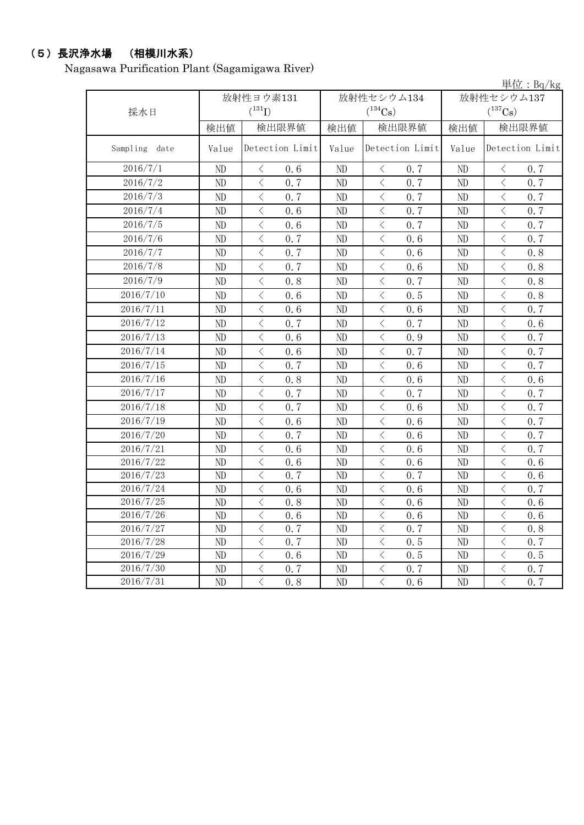## (5)長沢浄水場 (相模川水系)

Nagasawa Purification Plant (Sagamigawa River)

|               |                |                                                 |          |                                                 |              | 単位: Bq/kg                                       |  |  |
|---------------|----------------|-------------------------------------------------|----------|-------------------------------------------------|--------------|-------------------------------------------------|--|--|
|               |                | 放射性ヨウ素131                                       |          | 放射性セシウム134                                      | 放射性セシウム137   |                                                 |  |  |
| 採水日           |                | $(^{131}I)$                                     |          | $(^{134}Cs)$                                    | $(^{137}Cs)$ |                                                 |  |  |
|               | 検出値            | 検出限界値                                           | 検出値      | 検出限界値                                           | 検出値          | 検出限界値                                           |  |  |
| Sampling date | Value          | Detection Limit                                 | Value    | Detection Limit                                 | Value        | Detection Limit                                 |  |  |
| 2016/7/1      | ND             | 0.6<br>$\lt$                                    | ND       | 0.7<br>$\langle$                                | ND           | 0.7<br>$\langle$                                |  |  |
| 2016/7/2      | ND             | $\langle$<br>0.7                                | ND       | $\langle$<br>0.7                                | ND           | $\langle$<br>0.7                                |  |  |
| 2016/7/3      | ND             | $\langle$<br>0.7                                | $\rm ND$ | $\langle$<br>0.7                                | ND           | $\langle$<br>0.7                                |  |  |
| 2016/7/4      | ND             | $\langle$<br>0.6                                | ND       | $\langle$<br>0.7                                | ND           | $\overline{\left\langle \right\rangle }$<br>0.7 |  |  |
| 2016/7/5      | ND             | $\lt$<br>0.6                                    | $\rm ND$ | $\langle$<br>0.7                                | ND           | $\lt$<br>0.7                                    |  |  |
| 2016/7/6      | ND             | $\,$ $\,$ $\,$<br>0.7                           | ND       | $\lt$<br>0.6                                    | ND           | $\, < \,$<br>0.7                                |  |  |
| 2016/7/7      | ND             | $\overline{\left\langle \right\rangle }$<br>0.7 | ND       | $\overline{\langle}$<br>0.6                     | ND           | $\langle$<br>0.8                                |  |  |
| 2016/7/8      | N <sub>D</sub> | $\overline{\left\langle \right\rangle }$<br>0.7 | ND       | $\overline{\left\langle \right\rangle }$<br>0.6 | ND           | $\langle$<br>0.8                                |  |  |
| 2016/7/9      | ND             | $\lt$<br>0.8                                    | ND       | $\lt$<br>0.7                                    | ND           | $\langle$<br>0.8                                |  |  |
| 2016/7/10     | ND             | $\langle$<br>0.6                                | ND       | $\overline{\left\langle \right\rangle }$<br>0.5 | ND           | $\langle$<br>0.8                                |  |  |
| 2016/7/11     | ND             | $\langle$<br>0.6                                | ND       | $\lt$<br>0, 6                                   | ND           | $\lt$<br>0.7                                    |  |  |
| 2016/7/12     | ND             | $\bigg\langle$<br>0.7                           | ND       | $\lt$<br>0.7                                    | ND           | $\, \big\langle \,$<br>0.6                      |  |  |
| 2016/7/13     | ND             | $\lt$<br>0.6                                    | ND       | $\lt$<br>0.9                                    | ND           | $\lt$<br>0.7                                    |  |  |
| 2016/7/14     | ND             | $\,$ $\,$ $\,$<br>0.6                           | ND       | $\,$ $\,$ $\,$<br>0.7                           | ND           | $\,$ $\,$ $\,$<br>0.7                           |  |  |
| 2016/7/15     | ND             | $\, <\,$<br>0.7                                 | ND       | $\, \big\langle \,$<br>0.6                      | ND           | $\, <\,$<br>0.7                                 |  |  |
| 2016/7/16     | ND             | $\lt$<br>0.8                                    | ND       | $\lt$<br>0, 6                                   | ND           | $\,$ $\,$ $\,$<br>0, 6                          |  |  |
| 2016/7/17     | ND             | $\,<\,$<br>0.7                                  | ND       | $\langle$<br>0.7                                | ND           | $\hspace{0.1mm} <\hspace{0.1mm}$<br>0.7         |  |  |
| 2016/7/18     | ND             | $\lt$<br>0, 7                                   | ND       | $\lt$<br>0.6                                    | ND           | $\,<\,$<br>0.7                                  |  |  |
| 2016/7/19     | $\rm ND$       | $\langle$<br>0, 6                               | $\rm ND$ | $\overline{\left\langle \right\rangle }$<br>0.6 | ND           | $\lt$<br>0.7                                    |  |  |
| 2016/7/20     | ND             | $\,$ $\,$ $\,$<br>0.7                           | $\rm ND$ | $\lt$<br>0.6                                    | ND           | $\,<\,$<br>0.7                                  |  |  |
| 2016/7/21     | ND             | $\langle$<br>0.6                                | ND       | $\langle$<br>0.6                                | ND           | $\,$ $\,$ $\,$<br>0.7                           |  |  |
| 2016/7/22     | ND             | $\lt$<br>0.6                                    | ND       | $\lt$<br>0.6                                    | ND           | $\lt$<br>0.6                                    |  |  |
| 2016/7/23     | ND             | $\bigg\langle$<br>0.7                           | $\rm ND$ | $\langle$<br>0.7                                | ND           | $\,$ $\,$ $\,$<br>0.6                           |  |  |
| 2016/7/24     | ND             | $\lt$<br>0.6                                    | ND       | $\lt$<br>0.6                                    | ND           | $\lt$<br>0.7                                    |  |  |
| 2016/7/25     | ND             | $\lt$<br>0.8                                    | ND       | $\langle$<br>0.6                                | ND           | $\lt$<br>0.6                                    |  |  |
| 2016/7/26     | ND             | $\lt$<br>0.6                                    | ND       | $\lt$<br>0.6                                    | ND           | $\, < \,$<br>0.6                                |  |  |
| 2016/7/27     | ND             | $\langle$<br>0.7                                | ND       | $\langle$<br>0.7                                | ND           | $\,$ $\,$ $\,$<br>0.8                           |  |  |
| 2016/7/28     | ND             | $\langle$<br>0.7                                | ND       | $\langle$<br>0.5                                | ND           | $\langle$<br>0.7                                |  |  |
| 2016/7/29     | ND             | $\langle$<br>0.6                                | ND       | $\lt$<br>0.5                                    | $\rm ND$     | $\bigl\langle$<br>0.5                           |  |  |
| 2016/7/30     | ND             | $\mathord{<}$<br>0.7                            | ND       | $\overline{\left\langle \right\rangle }$<br>0.7 | $\rm ND$     | $\bigg\langle$<br>0.7                           |  |  |
| 2016/7/31     | ND             | $\overline{\langle}$<br>0.8                     | ND       | $\overline{\left\langle \right\rangle }$<br>0.6 | ND           | $\overline{\langle}$<br>0, 7                    |  |  |